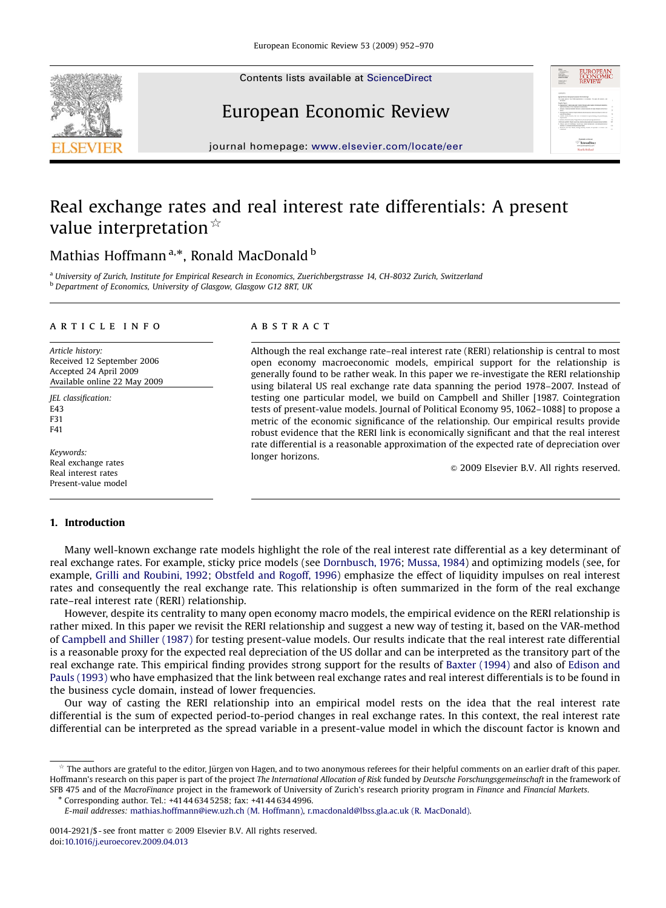Contents lists available at [ScienceDirect](www.sciencedirect.com/science/journal/eer)







journal homepage: <www.elsevier.com/locate/eer>

# Real exchange rates and real interest rate differentials: A present value interpretation  $*$

## Mathias Hoffmann<sup>a,\*</sup>, Ronald MacDonald <sup>b</sup>

<sup>a</sup> University of Zurich, Institute for Empirical Research in Economics, Zuerichbergstrasse 14, CH-8032 Zurich, Switzerland **b** Department of Economics, University of Glasgow, Glasgow G12 8RT, UK

#### article info

Article history: Received 12 September 2006 Accepted 24 April 2009 Available online 22 May 2009

JEL classification: E43 F31 F41

Keywords: Real exchange rates Real interest rates Present-value model

## **ABSTRACT**

Although the real exchange rate–real interest rate (RERI) relationship is central to most open economy macroeconomic models, empirical support for the relationship is generally found to be rather weak. In this paper we re-investigate the RERI relationship using bilateral US real exchange rate data spanning the period 1978–2007. Instead of testing one particular model, we build on Campbell and Shiller [1987. Cointegration tests of present-value models. Journal of Political Economy 95, 1062–1088] to propose a metric of the economic significance of the relationship. Our empirical results provide robust evidence that the RERI link is economically significant and that the real interest rate differential is a reasonable approximation of the expected rate of depreciation over longer horizons.

 $© 2009$  Elsevier B.V. All rights reserved.

### 1. Introduction

Many well-known exchange rate models highlight the role of the real interest rate differential as a key determinant of real exchange rates. For example, sticky price models (see [Dornbusch, 1976;](#page--1-0) [Mussa, 1984](#page--1-0)) and optimizing models (see, for example, [Grilli and Roubini, 1992](#page--1-0); [Obstfeld and Rogoff, 1996](#page--1-0)) emphasize the effect of liquidity impulses on real interest rates and consequently the real exchange rate. This relationship is often summarized in the form of the real exchange rate–real interest rate (RERI) relationship.

However, despite its centrality to many open economy macro models, the empirical evidence on the RERI relationship is rather mixed. In this paper we revisit the RERI relationship and suggest a new way of testing it, based on the VAR-method of [Campbell and Shiller \(1987\)](#page--1-0) for testing present-value models. Our results indicate that the real interest rate differential is a reasonable proxy for the expected real depreciation of the US dollar and can be interpreted as the transitory part of the real exchange rate. This empirical finding provides strong support for the results of [Baxter \(1994\)](#page--1-0) and also of [Edison and](#page--1-0) [Pauls \(1993\)](#page--1-0) who have emphasized that the link between real exchange rates and real interest differentials is to be found in the business cycle domain, instead of lower frequencies.

Our way of casting the RERI relationship into an empirical model rests on the idea that the real interest rate differential is the sum of expected period-to-period changes in real exchange rates. In this context, the real interest rate differential can be interpreted as the spread variable in a present-value model in which the discount factor is known and

The authors are grateful to the editor, Jürgen von Hagen, and to two anonymous referees for their helpful comments on an earlier draft of this paper. Hoffmann's research on this paper is part of the project The International Allocation of Risk funded by Deutsche Forschungsgemeinschaft in the framework of SFB 475 and of the MacroFinance project in the framework of University of Zurich's research priority program in Finance and Financial Markets.

Corresponding author. Tel.: +4144 634 5258; fax: +4144 634 4996.

E-mail addresses: [mathias.hoffmann@iew.uzh.ch \(M. Hoffmann\),](mailto:mathias.hoffmann@iew.uzh.ch) [r.macdonald@lbss.gla.ac.uk \(R. MacDonald\)](mailto:r.macdonald@lbss.gla.ac.uk).

<sup>0014-2921/\$ -</sup> see front matter @ 2009 Elsevier B.V. All rights reserved. doi:[10.1016/j.euroecorev.2009.04.013](dx.doi.org/10.1016/j.euroecorev.2009.04.013)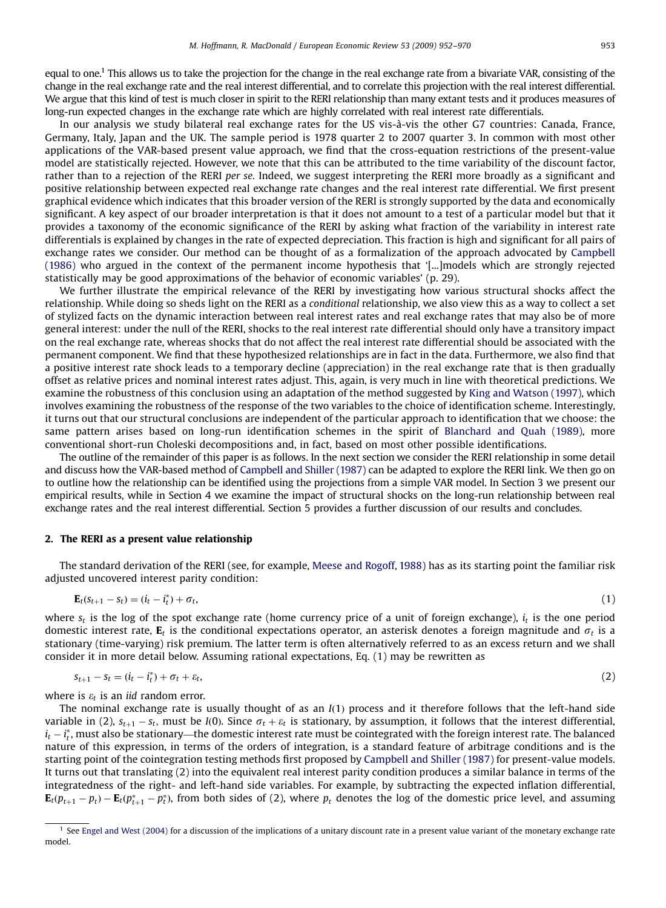equal to one.1 This allows us to take the projection for the change in the real exchange rate from a bivariate VAR, consisting of the change in the real exchange rate and the real interest differential, and to correlate this projection with the real interest differential. We argue that this kind of test is much closer in spirit to the RERI relationship than many extant tests and it produces measures of long-run expected changes in the exchange rate which are highly correlated with real interest rate differentials.

In our analysis we study bilateral real exchange rates for the US vis-à-vis the other G7 countries: Canada, France, Germany, Italy, Japan and the UK. The sample period is 1978 quarter 2 to 2007 quarter 3. In common with most other applications of the VAR-based present value approach, we find that the cross-equation restrictions of the present-value model are statistically rejected. However, we note that this can be attributed to the time variability of the discount factor, rather than to a rejection of the RERI per se. Indeed, we suggest interpreting the RERI more broadly as a significant and positive relationship between expected real exchange rate changes and the real interest rate differential. We first present graphical evidence which indicates that this broader version of the RERI is strongly supported by the data and economically significant. A key aspect of our broader interpretation is that it does not amount to a test of a particular model but that it provides a taxonomy of the economic significance of the RERI by asking what fraction of the variability in interest rate differentials is explained by changes in the rate of expected depreciation. This fraction is high and significant for all pairs of exchange rates we consider. Our method can be thought of as a formalization of the approach advocated by [Campbell](#page--1-0) [\(1986\)](#page--1-0) who argued in the context of the permanent income hypothesis that '[...]models which are strongly rejected statistically may be good approximations of the behavior of economic variables' (p. 29).

We further illustrate the empirical relevance of the RERI by investigating how various structural shocks affect the relationship. While doing so sheds light on the RERI as a conditional relationship, we also view this as a way to collect a set of stylized facts on the dynamic interaction between real interest rates and real exchange rates that may also be of more general interest: under the null of the RERI, shocks to the real interest rate differential should only have a transitory impact on the real exchange rate, whereas shocks that do not affect the real interest rate differential should be associated with the permanent component. We find that these hypothesized relationships are in fact in the data. Furthermore, we also find that a positive interest rate shock leads to a temporary decline (appreciation) in the real exchange rate that is then gradually offset as relative prices and nominal interest rates adjust. This, again, is very much in line with theoretical predictions. We examine the robustness of this conclusion using an adaptation of the method suggested by [King and Watson \(1997\)](#page--1-0), which involves examining the robustness of the response of the two variables to the choice of identification scheme. Interestingly, it turns out that our structural conclusions are independent of the particular approach to identification that we choose: the same pattern arises based on long-run identification schemes in the spirit of [Blanchard and Quah \(1989\)](#page--1-0), more conventional short-run Choleski decompositions and, in fact, based on most other possible identifications.

The outline of the remainder of this paper is as follows. In the next section we consider the RERI relationship in some detail and discuss how the VAR-based method of [Campbell and Shiller \(1987\)](#page--1-0) can be adapted to explore the RERI link. We then go on to outline how the relationship can be identified using the projections from a simple VAR model. In Section 3 we present our empirical results, while in Section 4 we examine the impact of structural shocks on the long-run relationship between real exchange rates and the real interest differential. Section 5 provides a further discussion of our results and concludes.

#### 2. The RERI as a present value relationship

The standard derivation of the RERI (see, for example, [Meese and Rogoff, 1988](#page--1-0)) has as its starting point the familiar risk adjusted uncovered interest parity condition:

$$
\mathbf{E}_t(s_{t+1} - s_t) = (i_t - i_t^*) + \sigma_t,\tag{1}
$$

where  $s_t$  is the log of the spot exchange rate (home currency price of a unit of foreign exchange),  $i_t$  is the one period domestic interest rate,  $E_t$  is the conditional expectations operator, an asterisk denotes a foreign magnitude and  $\sigma_t$  is a stationary (time-varying) risk premium. The latter term is often alternatively referred to as an excess return and we shall consider it in more detail below. Assuming rational expectations, Eq. (1) may be rewritten as

$$
s_{t+1} - s_t = (i_t - i_t^*) + \sigma_t + \varepsilon_t, \tag{2}
$$

where is  $\varepsilon_t$  is an iid random error.

The nominal exchange rate is usually thought of as an  $I(1)$  process and it therefore follows that the left-hand side variable in (2),  $s_{t+1} - s_t$ , must be I(0). Since  $\sigma_t + \varepsilon_t$  is stationary, by assumption, it follows that the interest differential,  $i_t$  –  $i_t^*$ , must also be stationary—the domestic interest rate must be cointegrated with the foreign interest rate. The balanced nature of this expression, in terms of the orders of integration, is a standard feature of arbitrage conditions and is the starting point of the cointegration testing methods first proposed by [Campbell and Shiller \(1987\)](#page--1-0) for present-value models. It turns out that translating (2) into the equivalent real interest parity condition produces a similar balance in terms of the integratedness of the right- and left-hand side variables. For example, by subtracting the expected inflation differential,  ${\bf E}_t(p_{t+1}-p_t)-{\bf E}_t(p_{t+1}^*-p_t^*)$ , from both sides of (2), where  $p_t$  denotes the log of the domestic price level, and assuming

<sup>&</sup>lt;sup>1</sup> See [Engel and West \(2004\)](#page--1-0) for a discussion of the implications of a unitary discount rate in a present value variant of the monetary exchange rate model.